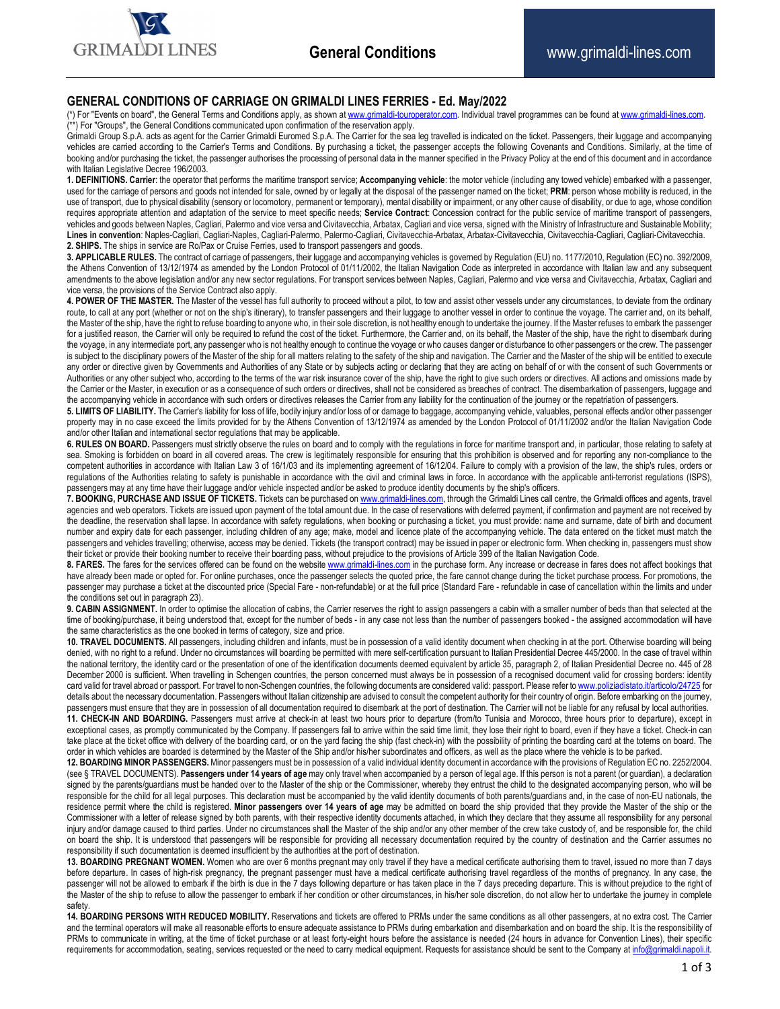

## **GENERAL CONDITIONS OF CARRIAGE ON GRIMALDI LINES FERRIES - Ed. May/2022**

(\*) For "Events on board", the General Terms and Conditions apply, as shown at www.grimaldi-touroperator.com. Individual travel programmes can be found at www.grimaldi-lines.com. <sup>\*\*</sup>) For "Groups", the General Conditions communicated upon confirmation of the reservation apply.

Grimaldi Group S.p.A. acts as agent for the Carrier Grimaldi Euromed S.p.A. The Carrier for the sea leg travelled is indicated on the ticket. Passengers, their luggage and accompanying vehicles are carried according to the Carrier's Terms and Conditions. By purchasing a ticket, the passenger accepts the following Covenants and Conditions. Similarly, at the time of booking and/or purchasing the ticket, the passenger authorises the processing of personal data in the manner specified in the Privacy Policy at the end of this document and in accordance with Italian Legislative Decree 196/2003.

**1. DEFINITIONS. Carrier**: the operator that performs the maritime transport service; **Accompanying vehicle**: the motor vehicle (including any towed vehicle) embarked with a passenger, used for the carriage of persons and goods not intended for sale, owned by or legally at the disposal of the passenger named on the ticket; PRM: person whose mobility is reduced, in the use of transport, due to physical disability (sensory or locomotory, permanent or temporary), mental disability or impairment, or any other cause of disability, or due to age, whose condition requires appropriate attention and adaptation of the service to meet specific needs; **Service Contract**: Concession contract for the public service of maritime transport of passengers, vehicles and goods between Naples, Cagliari, Palermo and vice versa and Civitavecchia, Arbatax, Cagliari and vice versa, signed with the Ministry of Infrastructure and Sustainable Mobility; **Lines in convention**: Naples-Cagliari, Cagliari-Naples, Cagliari-Palermo, Palermo-Cagliari, Civitavecchia-Arbatax, Arbatax-Civitavecchia, Civitavecchia-Cagliari, Cagliari-Civitavecchia. **2. SHIPS.** The ships in service are Ro/Pax or Cruise Ferries, used to transport passengers and goods.

**3. APPLICABLE RULES.** The contract of carriage of passengers, their luggage and accompanying vehicles is governed by Regulation (EU) no. 1177/2010, Regulation (EC) no. 392/2009, the Athens Convention of 13/12/1974 as amended by the London Protocol of 01/11/2002, the Italian Navigation Code as interpreted in accordance with Italian law and any subsequent amendments to the above legislation and/or any new sector regulations. For transport services between Naples, Cagliari, Palermo and vice versa and Civitavecchia, Arbatax, Cagliari and vice versa, the provisions of the Service Contract also apply.

4. POWER OF THE MASTER. The Master of the vessel has full authority to proceed without a pilot, to tow and assist other vessels under any circumstances, to deviate from the ordinary route, to call at any port (whether or not on the ship's itinerary), to transfer passengers and their luggage to another vessel in order to continue the voyage. The carrier and, on its behalf, the Master of the ship, have the right to refuse boarding to anyone who, in their sole discretion, is not healthy enough to undertake the journey. If the Master refuses to embark the passenger for a justified reason, the Carrier will only be required to refund the cost of the ticket. Furthermore, the Carrier and, on its behalf, the Master of the ship, have the right to disembark during the voyage, in any intermediate port, any passenger who is not healthy enough to continue the voyage or who causes danger or disturbance to other passengers or the crew. The passenger is subject to the disciplinary powers of the Master of the ship for all matters relating to the safety of the ship and navigation. The Carrier and the Master of the ship will be entitled to execute any order or directive given by Governments and Authorities of any State or by subjects acting or declaring that they are acting on behalf of or with the consent of such Governments or Authorities or any other subject who, according to the terms of the war risk insurance cover of the ship, have the right to give such orders or directives. All actions and omissions made by the Carrier or the Master, in execution or as a consequence of such orders or directives, shall not be considered as breaches of contract. The disembarkation of passengers, luggage and the accompanying vehicle in accordance with such orders or directives releases the Carrier from any liability for the continuation of the journey or the repatriation of passengers.

**5. LIMITS OF LIABILITY.** The Carrier's liability for loss of life, bodily injury and/or loss of or damage to baggage, accompanying vehicle, valuables, personal effects and/or other passenger property may in no case exceed the limits provided for by the Athens Convention of 13/12/1974 as amended by the London Protocol of 01/11/2002 and/or the Italian Navigation Code and/or other Italian and international sector regulations that may be applicable.

6. RULES ON BOARD. Passengers must strictly observe the rules on board and to comply with the regulations in force for maritime transport and, in particular, those relating to safety at sea. Smoking is forbidden on board in all covered areas. The crew is legitimately responsible for ensuring that this prohibition is observed and for reporting any non-compliance to the competent authorities in accordance with Italian Law 3 of 16/1/03 and its implementing agreement of 16/12/04. Failure to comply with a provision of the law, the ship's rules, orders or regulations of the Authorities relating to safety is punishable in accordance with the civil and criminal laws in force. In accordance with the applicable anti-terrorist regulations (ISPS), passengers may at any time have their luggage and/or vehicle inspected and/or be asked to produce identity documents by the ship's officers.

7. BOOKING, PURCHASE AND ISSUE OF TICKETS. Tickets can be purchased on www.grimaldi-lines.com, through the Grimaldi Lines call centre, the Grimaldi offices and agents, travel agencies and web operators. Tickets are issued upon payment of the total amount due. In the case of reservations with deferred payment, if confirmation and payment are not received by the deadline, the reservation shall lapse. In accordance with safety regulations, when booking or purchasing a ticket, you must provide: name and surname, date of birth and document number and expiry date for each passenger, including children of any age; make, model and licence plate of the accompanying vehicle. The data entered on the ticket must match the passengers and vehicles travelling; otherwise, access may be denied. Tickets (the transport contract) may be issued in paper or electronic form. When checking in, passengers must show their ticket or provide their booking number to receive their boarding pass, without prejudice to the provisions of Article 399 of the Italian Navigation Code.

8. FARES. The fares for the services offered can be found on the website www.grimaldi-lines.com in the purchase form. Any increase or decrease in fares does not affect bookings that have already been made or opted for. For online purchases, once the passenger selects the quoted price, the fare cannot change during the ticket purchase process. For promotions, the passenger may purchase a ticket at the discounted price (Special Fare - non-refundable) or at the full price (Standard Fare - refundable in case of cancellation within the limits and under the conditions set out in paragraph 23).

9. CABIN ASSIGNMENT. In order to optimise the allocation of cabins, the Carrier reserves the right to assign passengers a cabin with a smaller number of beds than that selected at the time of booking/purchase, it being understood that, except for the number of beds - in any case not less than the number of passengers booked - the assigned accommodation will have the same characteristics as the one booked in terms of category, size and price.

**10. TRAVEL DOCUMENTS.** All passengers, including children and infants, must be in possession of a valid identity document when checking in at the port. Otherwise boarding will being denied, with no right to a refund. Under no circumstances will boarding be permitted with mere self-certification pursuant to Italian Presidential Decree 445/2000. In the case of travel within the national territory, the identity card or the presentation of one of the identification documents deemed equivalent by article 35, paragraph 2, of Italian Presidential Decree no. 445 of 28 December 2000 is sufficient. When travelling in Schengen countries, the person concerned must always be in possession of a recognised document valid for crossing borders: identity card valid for travel abroad or passport. For travel to non-Schengen countries, the following documents are considered valid: passport. Please refer to www.poliziadistato.it/ details about the necessary documentation. Passengers without Italian citizenship are advised to consult the competent authority for their country of origin. Before embarking on the journey, passengers must ensure that they are in possession of all documentation required to disembark at the port of destination. The Carrier will not be liable for any refusal by local authorities. **11. CHECK-IN AND BOARDING.** Passengers must arrive at check-in at least two hours prior to departure (from/to Tunisia and Morocco, three hours prior to departure), except in exceptional cases, as promptly communicated by the Company. If passengers fail to arrive within the said time limit, they lose their right to board, even if they have a ticket. Check-in can take place at the ticket office with delivery of the boarding card, or on the yard facing the ship (fast check-in) with the possibility of printing the boarding card at the totems on board. The order in which vehicles are boarded is determined by the Master of the Ship and/or his/her subordinates and officers, as well as the place where the vehicle is to be parked.

**12. BOARDING MINOR PASSENGERS.** Minor passengers must be in possession of a valid individual identity document in accordance with the provisions of Regulation EC no. 2252/2004. (see § TRAVEL DOCUMENTS). **Passengers under 14 years of age** may only travel when accompanied by a person of legal age. If this person is not a parent (or guardian), a declaration signed by the parents/guardians must be handed over to the Master of the ship or the Commissioner, whereby they entrust the child to the designated accompanying person, who will be responsible for the child for all legal purposes. This declaration must be accompanied by the valid identity documents of both parents/guardians and, in the case of non-EU nationals, the residence permit where the child is registered. **Minor passengers over 14 years of age** may be admitted on board the ship provided that they provide the Master of the ship or the Commissioner with a letter of release signed by both parents, with their respective identity documents attached, in which they declare that they assume all responsibility for any personal injury and/or damage caused to third parties. Under no circumstances shall the Master of the ship and/or any other member of the crew take custody of, and be responsible for, the child on board the ship. It is understood that passengers will be responsible for providing all necessary documentation required by the country of destination and the Carrier assumes no responsibility if such documentation is deemed insufficient by the authorities at the port of destination.

**13. BOARDING PREGNANT WOMEN.** Women who are over 6 months pregnant may only travel if they have a medical certificate authorising them to travel, issued no more than 7 days before departure. In cases of high-risk pregnancy, the pregnant passenger must have a medical certificate authorising travel regardless of the months of pregnancy. In any case, the passenger will not be allowed to embark if the birth is due in the 7 days following departure or has taken place in the 7 days preceding departure. This is without prejudice to the right of the Master of the ship to refuse to allow the passenger to embark if her condition or other circumstances, in his/her sole discretion, do not allow her to undertake the journey in complete safety

**14. BOARDING PERSONS WITH REDUCED MOBILITY.** Reservations and tickets are offered to PRMs under the same conditions as all other passengers, at no extra cost. The Carrier and the terminal operators will make all reasonable efforts to ensure adequate assistance to PRMs during embarkation and disembarkation and on board the ship. It is the responsibility of PRMs to communicate in writing, at the time of ticket purchase or at least forty-eight hours before the assistance is needed (24 hours in advance for Convention Lines), their specific requirements for accommodation, seating, services requested or the need to carry medical equipment. Requests for assistance should be sent to the Company at info@grimaldi.napoli.it.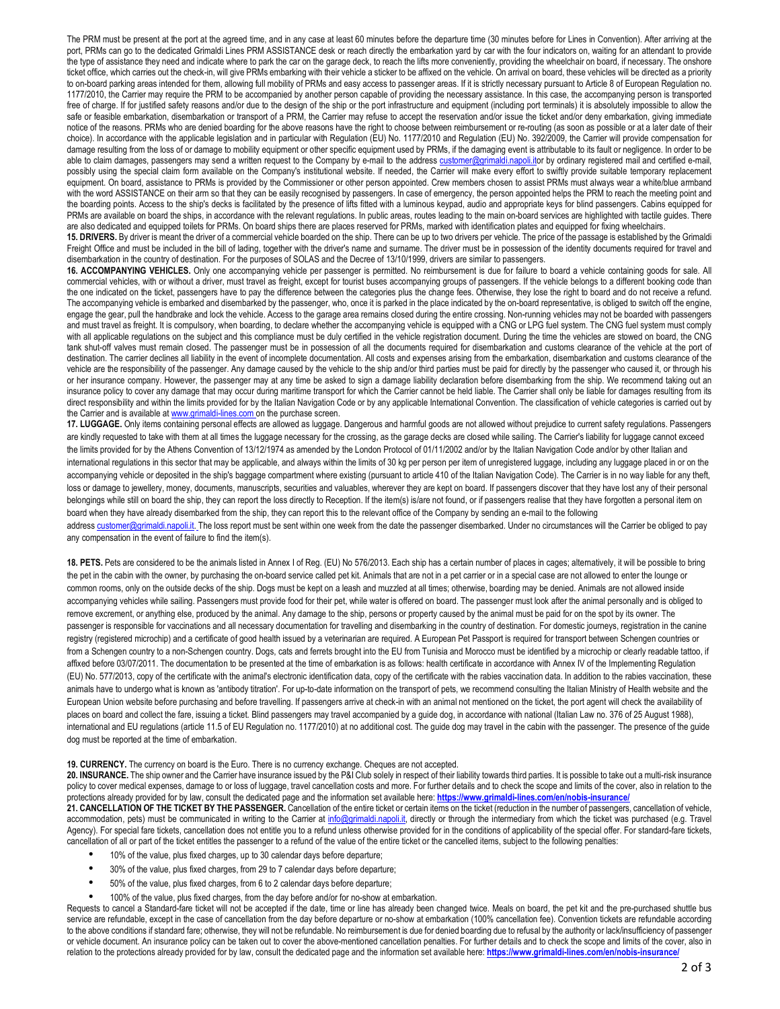The PRM must be present at the port at the agreed time, and in any case at least 60 minutes before the departure time (30 minutes before for Lines in Convention). After arriving at the port, PRMs can go to the dedicated Grimaldi Lines PRM ASSISTANCE desk or reach directly the embarkation yard by car with the four indicators on, waiting for an attendant to provide the type of assistance they need and indicate where to park the car on the garage deck, to reach the lifts more conveniently, providing the wheelchair on board, if necessary. The onshore ticket office, which carries out the check-in, will give PRMs embarking with their vehicle a sticker to be affixed on the vehicle. On arrival on board, these vehicles will be directed as a priority to on-board parking areas intended for them, allowing full mobility of PRMs and easy access to passenger areas. If it is strictly necessary pursuant to Article 8 of European Regulation no. 1177/2010, the Carrier may require the PRM to be accompanied by another person capable of providing the necessary assistance. In this case, the accompanying person is transported free of charge. If for justified safety reasons and/or due to the design of the ship or the port infrastructure and equipment (including port terminals) it is absolutely impossible to allow the safe or feasible embarkation, disembarkation or transport of a PRM, the Carrier may refuse to accept the reservation and/or issue the ticket and/or deny embarkation, giving immediate notice of the reasons. PRMs who are denied boarding for the above reasons have the right to choose between reimbursement or re-routing (as soon as possible or at a later date of their choice). In accordance with the applicable legislation and in particular with Regulation (EU) No. 1177/2010 and Regulation (EU) No. 392/2009, the Carrier will provide compensation for damage resulting from the loss of or damage to mobility equipment or other specific equipment used by PRMs, if the damaging event is attributable to its fault or negligence. In order to be able to claim damages, passengers may send a written request to the Company by e-mail to the address customer@grimaldi.napoli.itor by ordinary registered mail and certified e-mail, possibly using the special claim form available on the Company's institutional website. If needed, the Carrier will make every effort to swiftly provide suitable temporary replacement equipment. On board, assistance to PRMs is provided by the Commissioner or other person appointed. Crew members chosen to assist PRMs must always wear a white/blue armband with the word ASSISTANCE on their arm so that they can be easily recognised by passengers. In case of emergency, the person appointed helps the PRM to reach the meeting point and the boarding points. Access to the ship's decks is facilitated by the presence of lifts fitted with a luminous keypad, audio and appropriate keys for blind passengers. Cabins equipped for PRMs are available on board the ships, in accordance with the relevant regulations. In public areas, routes leading to the main on-board services are highlighted with tactile guides. There The also dedicated and equipped toilets for PRMs. On board ships there are places reserved for PRMs, marked with identification plates and equipped for fixing wheelchairs.

**15. DRIVERS.** By driver is meant the driver of a commercial vehicle boarded on the ship. There can be up to two drivers per vehicle. The price of the passage is established by the Grimaldi Freight Office and must be included in the bill of lading, together with the driver's name and surname. The driver must be in possession of the identity documents required for travel and disembarkation in the country of destination. For the purposes of SOLAS and the Decree of 13/10/1999, drivers are similar to passengers.

**16. ACCOMPANYING VEHICLES.** Only one accompanying vehicle per passenger is permitted. No reimbursement is due for failure to board a vehicle containing goods for sale. All commercial vehicles, with or without a driver, must travel as freight, except for tourist buses accompanying groups of passengers. If the vehicle belongs to a different booking code than the one indicated on the ticket, passengers have to pay the difference between the categories plus the change fees. Otherwise, they lose the right to board and do not receive a refund. The accompanying vehicle is embarked and disembarked by the passenger, who, once it is parked in the place indicated by the on-board representative, is obliged to switch off the engine, engage the gear, pull the handbrake and lock the vehicle. Access to the garage area remains closed during the entire crossing. Non-running vehicles may not be boarded with passengers and must travel as freight. It is compulsory, when boarding, to declare whether the accompanying vehicle is equipped with a CNG or LPG fuel system. The CNG fuel system must comply with all applicable regulations on the subject and this compliance must be duly certified in the vehicle registration document. During the time the vehicles are stowed on board, the CNG tank shut-off valves must remain closed. The passenger must be in possession of all the documents required for disembarkation and customs clearance of the vehicle at the port of destination. The carrier declines all liability in the event of incomplete documentation. All costs and expenses arising from the embarkation, disembarkation and customs clearance of the vehicle are the responsibility of the passenger. Any damage caused by the vehicle to the ship and/or third parties must be paid for directly by the passenger who caused it, or through his or her insurance company. However, the passenger may at any time be asked to sign a damage liability declaration before disembarking from the ship. We recommend taking out an insurance policy to cover any damage that may occur during maritime transport for which the Carrier cannot be held liable. The Carrier shall only be liable for damages resulting from its direct responsibility and within the limits provided for by the Italian Navigation Code or by any applicable International Convention. The classification of vehicle categories is carried out by the Carrier and is available at www.grimaldi-lines.com on the purchase screen.

**17. LUGGAGE.** Only items containing personal effects are allowed as luggage. Dangerous and harmful goods are not allowed without prejudice to current safety regulations. Passengers are kindly requested to take with them at all times the luggage necessary for the crossing, as the garage decks are closed while sailing. The Carrier's liability for luggage cannot exceed the limits provided for by the Athens Convention of 13/12/1974 as amended by the London Protocol of 01/11/2002 and/or by the Italian Navigation Code and/or by other Italian and international regulations in this sector that may be applicable, and always within the limits of 30 kg per person per item of unregistered luggage, including any luggage placed in or on the accompanying vehicle or deposited in the ship's baggage compartment where existing (pursuant to article 410 of the Italian Navigation Code). The Carrier is in no way liable for any theft, loss or damage to jewellery, money, documents, manuscripts, securities and valuables, wherever they are kept on board. If passengers discover that they have lost any of their personal belongings while still on board the ship, they can report the loss directly to Reception. If the item(s) is/are not found, or if passengers realise that they have forgotten a personal item on board when they have already disembarked from the ship, they can report this to the relevant office of the Company by sending an e-mail to the following address customer@grimaldi.napoli.it. The loss report must be sent within one week from the date the passenger disembarked. Under no circumstances will the Carrier be obliged to pay

any compensation in the event of failure to find the item(s).

**18. PETS.** Pets are considered to be the animals listed in Annex I of Reg. (EU) No 576/2013. Each ship has a certain number of places in cages; alternatively, it will be possible to bring the pet in the cabin with the owner, by purchasing the on-board service called pet kit. Animals that are not in a pet carrier or in a special case are not allowed to enter the lounge or common rooms, only on the outside decks of the ship. Dogs must be kept on a leash and muzzled at all times; otherwise, boarding may be denied. Animals are not allowed inside accompanying vehicles while sailing. Passengers must provide food for their pet, while water is offered on board. The passenger must look after the animal personally and is obliged to remove excrement, or anything else, produced by the animal. Any damage to the ship, persons or property caused by the animal must be paid for on the spot by its owner. The passenger is responsible for vaccinations and all necessary documentation for travelling and disembarking in the country of destination. For domestic journeys, registration in the canine registry (registered microchip) and a certificate of good health issued by a veterinarian are required. A European Pet Passport is required for transport between Schengen countries or from a Schengen country to a non-Schengen country. Dogs, cats and ferrets brought into the EU from Tunisia and Morocco must be identified by a microchip or clearly readable tattoo, if affixed before 03/07/2011. The documentation to be presented at the time of embarkation is as follows: health certificate in accordance with Annex IV of the Implementing Regulation (EU) No. 577/2013, copy of the certificate with the animal's electronic identification data, copy of the certificate with the rabies vaccination data. In addition to the rabies vaccination, these animals have to undergo what is known as 'antibody titration'. For up-to-date information on the transport of pets, we recommend consulting the Italian Ministry of Health website and the European Union website before purchasing and before travelling. If passengers arrive at check-in with an animal not mentioned on the ticket, the port agent will check the availability of places on board and collect the fare, issuing a ticket. Blind passengers may travel accompanied by a guide dog, in accordance with national (Italian Law no. 376 of 25 August 1988), international and EU regulations (article 11.5 of EU Regulation no. 1177/2010) at no additional cost. The guide dog may travel in the cabin with the passenger. The presence of the guide dog must be reported at the time of embarkation.

## **19. CURRENCY.** The currency on board is the Euro. There is no currency exchange. Cheques are not accepted.

**20. INSURANCE.** The ship owner and the Carrier have insurance issued by the P&I Club solely in respect of their liability towards third parties. It is possible to take out a multi-risk insurance policy to cover medical expenses, damage to or loss of luggage, travel cancellation costs and more. For further details and to check the scope and limits of the cover, also in relation to the protections already provided for by law, consult the dedicated page and the information set available here: **https://www.grimaldi-lines.com/en/nobis-insurance/**

**21. CANCELLATION OF THE TICKET BY THE PASSENGER.** Cancellation of the entire ticket or certain items on the ticket (reduction in the number of passengers, cancellation of vehicle, accommodation, pets) must be communicated in writing to the Carrier at info@grimaldi.napoli.it, directly or through the intermediary from which the ticket was purchased (e.g. Travel Agency). For special fare tickets, cancellation does not entitle you to a refund unless otherwise provided for in the conditions of applicability of the special offer. For standard-fare tickets, cancellation of all or part of the ticket entitles the passenger to a refund of the value of the entire ticket or the cancelled items, subject to the following penalties:

- 10% of the value, plus fixed charges, up to 30 calendar days before departure;
- 30% of the value, plus fixed charges, from 29 to 7 calendar days before departure;
- 50% of the value, plus fixed charges, from 6 to 2 calendar days before departure;
- 100% of the value, plus fixed charges, from the day before and/or for no-show at embarkation.

Requests to cancel a Standard-fare ticket will not be accepted if the date, time or line has already been changed twice. Meals on board, the pet kit and the pre-purchased shuttle bus service are refundable, except in the case of cancellation from the day before departure or no-show at embarkation (100% cancellation fee). Convention tickets are refundable according to the above conditions if standard fare; otherwise, they will not be refundable. No reimbursement is due for denied boarding due to refusal by the authority or lack/insufficiency of passenger or vehicle document. An insurance policy can be taken out to cover the above-mentioned cancellation penalties. For further details and to check the scope and limits of the cover, also in relation to the protections already provided for by law, consult the dedicated page and the information set available here: **https://www.grimaldi-lines.com/en/nobis-insurance/**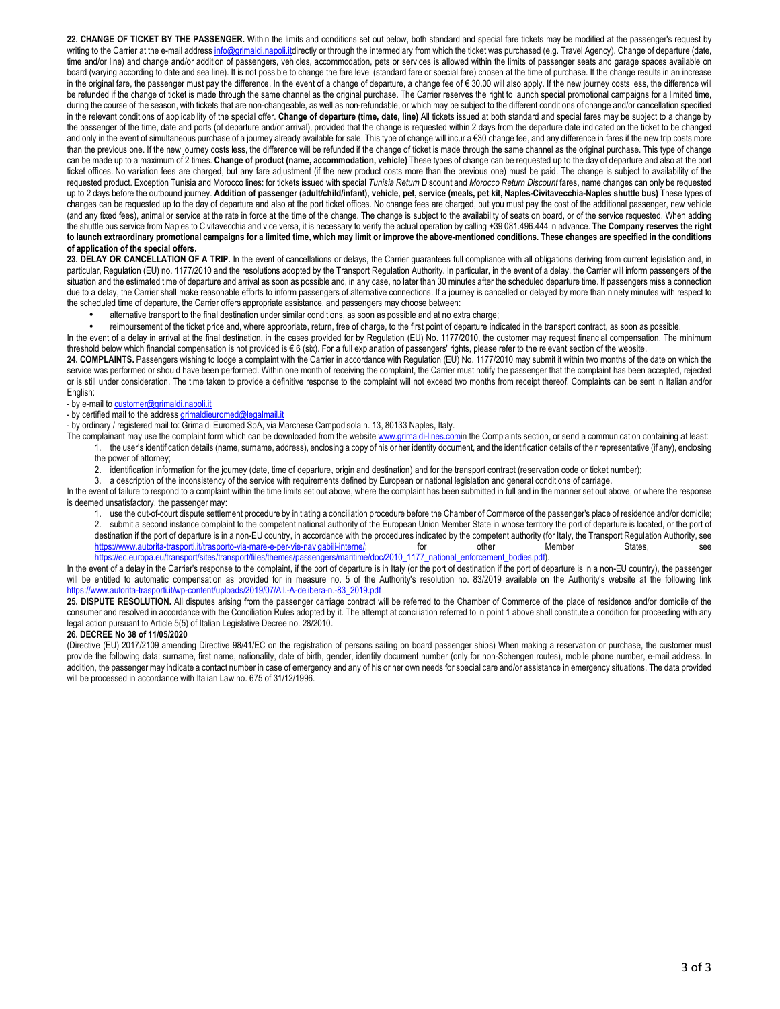**22. CHANGE OF TICKET BY THE PASSENGER.** Within the limits and conditions set out below, both standard and special fare tickets may be modified at the passenger's request by writing to the Carrier at the e-mail address info@grimaldi.napoli.itdirectly or through the intermediary from which the ticket was purchased (e.g. Travel Agency). Change of departure (date, time and/or line) and change and/or addition of passengers, vehicles, accommodation, pets or services is allowed within the limits of passenger seats and garage spaces available on board (varying according to date and sea line). It is not possible to change the fare level (standard fare or special fare) chosen at the time of purchase. If the change results in an increase in the original fare, the passenger must pay the difference. In the event of a change of departure, a change fee of € 30.00 will also apply. If the new journey costs less, the difference will be refunded if the change of ticket is made through the same channel as the original purchase. The Carrier reserves the right to launch special promotional campaigns for a limited time, during the course of the season, with tickets that are non-changeable, as well as non-refundable, or which may be subject to the different conditions of change and/or cancellation specified in the relevant conditions of applicability of the special offer. **Change of departure (time, date, line)** All tickets issued at both standard and special fares may be subject to a change by the passenger of the time, date and ports (of departure and/or arrival), provided that the change is requested within 2 days from the departure date indicated on the ticket to be changed and only in the event of simultaneous purchase of a journey already available for sale. This type of change will incur a €30 change fee, and any difference in fares if the new trip costs more than the previous one. If the new journey costs less, the difference will be refunded if the change of ticket is made through the same channel as the original purchase. This type of change can be made up to a maximum of 2 times. **Change of product (name, accommodation, vehicle)** These types of change can be requested up to the day of departure and also at the port ticket offices. No variation fees are charged, but any fare adjustment (if the new product costs more than the previous one) must be paid. The change is subject to availability of the requested product. Exception Tunisia and Morocco lines: for tickets issued with special *Tunisia Return* Discount and *Morocco Return Discount* fares, name changes can only be requested up to 2 days before the outbound journey. **Addition of passenger (adult/child/infant), vehicle, pet, service (meals, pet kit, Naples-Civitavecchia-Naples shuttle bus)** These types of changes can be requested up to the day of departure and also at the port ticket offices. No change fees are charged, but you must pay the cost of the additional passenger, new vehicle (and any fixed fees), animal or service at the rate in force at the time of the change. The change is subject to the availability of seats on board, or of the service requested. When adding the shuttle bus service from Naples to Civitavecchia and vice versa, it is necessary to verify the actual operation by calling +39 081.496.444 in advance. **The Company reserves the right to launch extraordinary promotional campaigns for a limited time, which may limit or improve the above-mentioned conditions. These changes are specified in the conditions of application of the special offers.**

23. DELAY OR CANCELLATION OF A TRIP. In the event of cancellations or delays, the Carrier guarantees full compliance with all obligations deriving from current legislation and, in particular, Regulation (EU) no. 1177/2010 and the resolutions adopted by the Transport Regulation Authority. In particular, in the event of a delay, the Carrier will inform passengers of the situation and the estimated time of departure and arrival as soon as possible and, in any case, no later than 30 minutes after the scheduled departure time. If passengers miss a connection due to a delay, the Carrier shall make reasonable efforts to inform passengers of alternative connections. If a journey is cancelled or delayed by more than ninety minutes with respect to the scheduled time of departure, the Carrier offers appropriate assistance, and passengers may choose between:

• alternative transport to the final destination under similar conditions, as soon as possible and at no extra charge;

• reimbursement of the ticket price and, where appropriate, return, free of charge, to the first point of departure indicated in the transport contract, as soon as possible.

In the event of a delay in arrival at the final destination, in the cases provided for by Regulation (EU) No. 1177/2010, the customer may request financial compensation. The minimum threshold below which financial compensation is not provided is € 6 (six). For a full explanation of passengers' rights, please refer to the relevant section of the website.

**24. COMPLAINTS.** Passengers wishing to lodge a complaint with the Carrier in accordance with Regulation (EU) No. 1177/2010 may submit it within two months of the date on which the service was performed or should have been performed. Within one month of receiving the complaint, the Carrier must notify the passenger that the complaint has been accepted, rejected or is still under consideration. The time taken to provide a definitive response to the complaint will not exceed two months from receipt thereof. Complaints can be sent in Italian and/or English:

- by e-mail to customer@grimaldi.napoli.it

- by certified mail to the address grimaldieuromed@legalmail.it

- by ordinary / registered mail to: Grimaldi Euromed SpA, via Marchese Campodisola n. 13, 80133 Naples, Italy.

The complainant may use the complaint form which can be downloaded from the website www.grimaldi-lines.comin the Complaints section, or send a communication containing at least: 1. the user's identification details (name, surname, address), enclosing a copy of his or her identity document, and the identification details of their representative (if any), enclosing the power of attorney;

2. identification information for the journey (date, time of departure, origin and destination) and for the transport contract (reservation code or ticket number);

3. a description of the inconsistency of the service with requirements defined by European or national legislation and general conditions of carriage.

In the event of failure to respond to a complaint within the time limits set out above, where the complaint has been submitted in full and in the manner set out above, or where the response is deemed unsatisfactory, the passenger may:

1. use the out-of-court dispute settlement procedure by initiating a conciliation procedure before the Chamber of Commerce of the passenger's place of residence and/or domicile;<br>2. submit a second instance complaint to the submit a second instance complaint to the competent national authority of the European Union Member State in whose territory the port of departure is located, or the port of destination if the port of departure is in a non-EU country, in accordance with the procedures indicated by the competent authority (for Italy, the Transport Regulation Authority, see<br>https://www.autorita-trasporti liftras https://www.autorita-trasporti.it/trasporto-via-mare-e-per-vie-navigabili-interne/; for other Member States, see

https://ec.europa.eu/transport/sites/transport/files/themes/passengers/maritime/doc/2010\_1177\_national\_enforcement\_bodies.pdf).

In the event of a delay in the Carrier's response to the complaint, if the port of departure is in Italy (or the port of destination if the port of departure is in a non-EU country), the passenger will be entitled to automatic compensation as provided for in measure no. 5 of the Authority's resolution no. 83/2019 available on the Authority's website at the following link a-trasporti.it/wp-content/uploads/2019/07/All.-A-delibera-n.-83\_2019.pdf

25. DISPUTE RESOLUTION. All disputes arising from the passenger carriage contract will be referred to the Chamber of Commerce of the place of residence and/or domicile of the consumer and resolved in accordance with the Conciliation Rules adopted by it. The attempt at conciliation referred to in point 1 above shall constitute a condition for proceeding with any legal action pursuant to Article 5(5) of Italian Legislative Decree no. 28/2010.

## **26. DECREE No 38 of 11/05/2020**

(Directive (EU) 2017/2109 amending Directive 98/41/EC on the registration of persons sailing on board passenger ships) When making a reservation or purchase, the customer must provide the following data: surname, first name, nationality, date of birth, gender, identity document number (only for non-Schengen routes), mobile phone number, e-mail address. In addition, the passenger may indicate a contact number in case of emergency and any of his or her own needs for special care and/or assistance in emergency situations. The data provided will be processed in accordance with Italian Law no. 675 of 31/12/1996.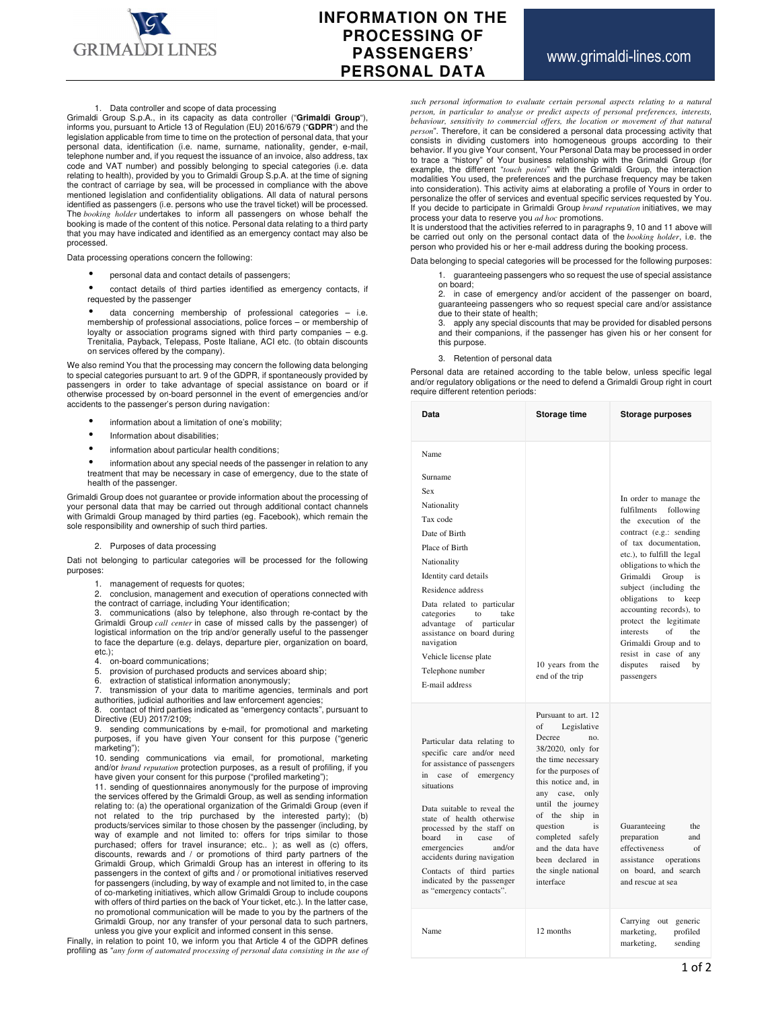

# **INFORMATION ON THE PROCESSING OF PASSENGERS' PERSONAL DATA**

## 1. Data controller and scope of data processing

Grimaldi Group S.p.A., in its capacity as data controller ("**Grimaldi Group**"), informs you, pursuant to Article 13 of Regulation (EU) 2016/679 ("**GDPR**") and the legislation applicable from time to time on the protection of personal data, that your personal data, identification (i.e. name, surname, nationality, gender, e-mail, telephone number and, if you request the issuance of an invoice, also address, tax code and VAT number) and possibly belonging to special categories (i.e. data relating to health), provided by you to Grimaldi Group S.p.A. at the time of signing the contract of carriage by sea, will be processed in compliance with the above mentioned legislation and confidentiality obligations. All data of natural persons identified as passengers (i.e. persons who use the travel ticket) will be processed. The *booking holder* undertakes to inform all passengers on whose behalf the booking is made of the content of this notice. Personal data relating to a third party that you may have indicated and identified as an emergency contact may also be processed.

Data processing operations concern the following:

- personal data and contact details of passengers;
- contact details of third parties identified as emergency contacts, if requested by the passenger
- data concerning membership of professional categories i.e. membership of professional associations, police forces – or membership of loyalty or association programs signed with third party companies – e.g. Trenitalia, Payback, Telepass, Poste Italiane, ACI etc. (to obtain discounts on services offered by the company).

We also remind You that the processing may concern the following data belonging to special categories pursuant to art. 9 of the GDPR, if spontaneously provided by passengers in order to take advantage of special assistance on board or if otherwise processed by on-board personnel in the event of emergencies and/or accidents to the passenger's person during navigation:

- information about a limitation of one's mobility;
- Information about disabilities;
- information about particular health conditions;
- information about any special needs of the passenger in relation to any treatment that may be necessary in case of emergency, due to the state of health of the passenger.

Grimaldi Group does not guarantee or provide information about the processing of your personal data that may be carried out through additional contact channels with Grimaldi Group managed by third parties (eg. Facebook), which remain the sole responsibility and ownership of such third parties.

#### 2. Purposes of data processing

Dati not belonging to particular categories will be processed for the following purposes:

1. management of requests for quotes;

2. conclusion, management and execution of operations connected with the contract of carriage, including Your identification;

3. communications (also by telephone, also through re-contact by the Grimaldi Group *call center* in case of missed calls by the passenger) of logistical information on the trip and/or generally useful to the passenger to face the departure (e.g. delays, departure pier, organization on board, etc.);

- 4. on-board communications;<br>5. provision of purchased pro-
- provision of purchased products and services aboard ship:
- 6. extraction of statistical information anonymously;

7. transmission of your data to maritime agencies, terminals and port authorities, judicial authorities and law enforcement agencies;

8. contact of third parties indicated as "emergency contacts", pursuant to Directive (EU) 2017/2109;

9. sending communications by e-mail, for promotional and marketing purposes, if you have given Your consent for this purpose ("generic marketing");

10. sending communications via email, for promotional, marketing and/or *brand reputation* protection purposes, as a result of profiling, if you have given your consent for this purpose ("profiled marketing");

11. sending of questionnaires anonymously for the purpose of improving the services offered by the Grimaldi Group, as well as sending information relating to: (a) the operational organization of the Grimaldi Group (even if not related to the trip purchased by the interested party); (b) products/services similar to those chosen by the passenger (including, by way of example and not limited to: offers for trips similar to those purchased; offers for travel insurance; etc.. ); as well as (c) offers, discounts, rewards and / or promotions of third party partners of the Grimaldi Group, which Grimaldi Group has an interest in offering to its passengers in the context of gifts and / or promotional initiatives reserved for passengers (including, by way of example and not limited to, in the case of co-marketing initiatives, which allow Grimaldi Group to include coupons with offers of third parties on the back of Your ticket, etc.). In the latter case, no promotional communication will be made to you by the partners of the Grimaldi Group, nor any transfer of your personal data to such partners, unless you give your explicit and informed consent in this sense.

Finally, in relation to point 10, we inform you that Article 4 of the GDPR defines profiling as "*any form of automated processing of personal data consisting in the use of* 

*such personal information to evaluate certain personal aspects relating to a natural person, in particular to analyse or predict aspects of personal preferences, interests,*  behaviour, sensitivity to commercial offers, the location or movement of that natural *person*". Therefore, it can be considered a personal data processing activity that consists in dividing customers into homogeneous groups according to their behavior. If you give Your consent, Your Personal Data may be processed in order<br>to trace a "history" of Your business relationship with the Grimaldi Group (for<br>example, the different "*touch points*" with the Grimaldi Gro modalities You used, the preferences and the purchase frequency may be taken into consideration). This activity aims at elaborating a profile of Yours in order to personalize the offer of services and eventual specific services requested by You. If you decide to participate in Grimaldi Group *brand reputation* initiatives, we may process your data to reserve you *ad hoc* promotions.

It is understood that the activities referred to in paragraphs 9, 10 and 11 above will be carried out only on the personal contact data of the *booking holder*, i.e. the person who provided his or her e-mail address during the booking process.

Data belonging to special categories will be processed for the following purposes:

1. guaranteeing passengers who so request the use of special assistance

on board; 2. in case of emergency and/or accident of the passenger on board, guaranteeing passengers who so request special care and/or assistance

due to their state of health;<br>3. apply any special disco apply any special discounts that may be provided for disabled persons and their companions, if the passenger has given his or her consent for this purpose.

#### 3. Retention of personal data

Personal data are retained according to the table below, unless specific legal and/or regulatory obligations or the need to defend a Grimaldi Group right in court require different retention periods:

| Data                                                                                                                                                                                                                                                                                                                                                                                                      | Storage time                                                                                                                                                                                                                                                                                                                      | Storage purposes                                                                                                                          |
|-----------------------------------------------------------------------------------------------------------------------------------------------------------------------------------------------------------------------------------------------------------------------------------------------------------------------------------------------------------------------------------------------------------|-----------------------------------------------------------------------------------------------------------------------------------------------------------------------------------------------------------------------------------------------------------------------------------------------------------------------------------|-------------------------------------------------------------------------------------------------------------------------------------------|
| Name                                                                                                                                                                                                                                                                                                                                                                                                      |                                                                                                                                                                                                                                                                                                                                   |                                                                                                                                           |
| Surname                                                                                                                                                                                                                                                                                                                                                                                                   |                                                                                                                                                                                                                                                                                                                                   |                                                                                                                                           |
| Sex                                                                                                                                                                                                                                                                                                                                                                                                       |                                                                                                                                                                                                                                                                                                                                   | In order to manage the                                                                                                                    |
| Nationality                                                                                                                                                                                                                                                                                                                                                                                               |                                                                                                                                                                                                                                                                                                                                   | fulfilments<br>following                                                                                                                  |
| Tax code                                                                                                                                                                                                                                                                                                                                                                                                  |                                                                                                                                                                                                                                                                                                                                   | the execution of the                                                                                                                      |
| Date of Birth                                                                                                                                                                                                                                                                                                                                                                                             |                                                                                                                                                                                                                                                                                                                                   | contract (e.g.: sending<br>of tax documentation,                                                                                          |
| Place of Birth                                                                                                                                                                                                                                                                                                                                                                                            |                                                                                                                                                                                                                                                                                                                                   | etc.), to fulfill the legal                                                                                                               |
| Nationality                                                                                                                                                                                                                                                                                                                                                                                               |                                                                                                                                                                                                                                                                                                                                   | obligations to which the                                                                                                                  |
| Identity card details                                                                                                                                                                                                                                                                                                                                                                                     |                                                                                                                                                                                                                                                                                                                                   | Grimaldi<br>Group<br>is                                                                                                                   |
| Residence address                                                                                                                                                                                                                                                                                                                                                                                         |                                                                                                                                                                                                                                                                                                                                   | subject (including the<br>obligations<br>to keep                                                                                          |
| Data related to particular<br>categories<br>to<br>take<br>advantage of particular<br>assistance on board during<br>navigation                                                                                                                                                                                                                                                                             |                                                                                                                                                                                                                                                                                                                                   | accounting records), to<br>protect the legitimate<br>interests<br>of<br>the<br>Grimaldi Group and to                                      |
| Vehicle license plate                                                                                                                                                                                                                                                                                                                                                                                     |                                                                                                                                                                                                                                                                                                                                   | resist in case of any                                                                                                                     |
| Telephone number                                                                                                                                                                                                                                                                                                                                                                                          | 10 years from the<br>end of the trip                                                                                                                                                                                                                                                                                              | disputes<br>raised<br>by<br>passengers                                                                                                    |
| E-mail address                                                                                                                                                                                                                                                                                                                                                                                            |                                                                                                                                                                                                                                                                                                                                   |                                                                                                                                           |
| Particular data relating to<br>specific care and/or need<br>for assistance of passengers<br>emergency<br>in<br>case of<br>situations<br>Data suitable to reveal the<br>state of health otherwise<br>processed by the staff on<br>board<br>in<br>case<br>of<br>and/or<br>emergencies<br>accidents during navigation<br>Contacts of third parties<br>indicated by the passenger<br>as "emergency contacts". | Pursuant to art. 12<br>of<br>Legislative<br>Decree<br>no.<br>38/2020, only for<br>the time necessary<br>for the purposes of<br>this notice and, in<br>any case, only<br>until the journey<br>of the ship<br>in<br>question<br>is<br>completed safely<br>and the data have<br>been declared in<br>the single national<br>interface | Guaranteeing<br>the<br>preparation<br>and<br>effectiveness<br>of<br>operations<br>assistance<br>on board, and search<br>and rescue at sea |
| Name                                                                                                                                                                                                                                                                                                                                                                                                      | 12 months                                                                                                                                                                                                                                                                                                                         | Carrying out<br>generic<br>marketing,<br>profiled<br>marketing,<br>sending                                                                |